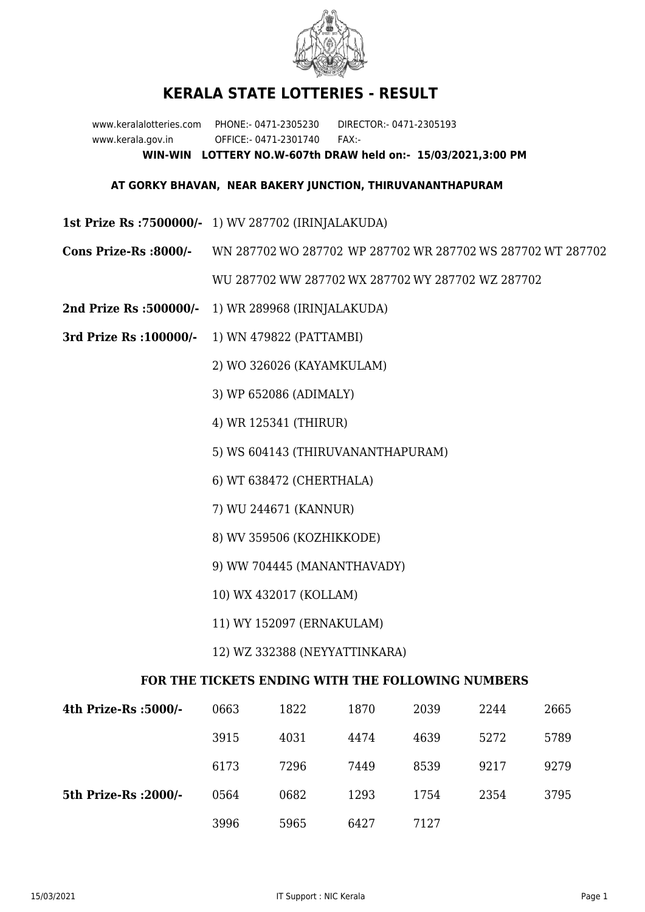

## **KERALA STATE LOTTERIES - RESULT**

www.keralalotteries.com PHONE:- 0471-2305230 DIRECTOR:- 0471-2305193 www.kerala.gov.in OFFICE:- 0471-2301740 FAX:- **WIN-WIN LOTTERY NO.W-607th DRAW held on:- 15/03/2021,3:00 PM**

## **AT GORKY BHAVAN, NEAR BAKERY JUNCTION, THIRUVANANTHAPURAM**

- **1st Prize Rs :7500000/-** 1) WV 287702 (IRINJALAKUDA)
- **Cons Prize-Rs :8000/-** WN 287702 WO 287702 WP 287702 WR 287702 WS 287702 WT 287702 WU 287702 WW 287702 WX 287702 WY 287702 WZ 287702
- **2nd Prize Rs :500000/-** 1) WR 289968 (IRINJALAKUDA)
- **3rd Prize Rs :100000/-** 1) WN 479822 (PATTAMBI)

2) WO 326026 (KAYAMKULAM)

- 3) WP 652086 (ADIMALY)
- 4) WR 125341 (THIRUR)
- 5) WS 604143 (THIRUVANANTHAPURAM)
- 6) WT 638472 (CHERTHALA)
- 7) WU 244671 (KANNUR)
- 8) WV 359506 (KOZHIKKODE)
- 9) WW 704445 (MANANTHAVADY)
- 10) WX 432017 (KOLLAM)
- 11) WY 152097 (ERNAKULAM)
- 12) WZ 332388 (NEYYATTINKARA)

## **FOR THE TICKETS ENDING WITH THE FOLLOWING NUMBERS**

| 4th Prize-Rs :5000/-  | 0663 | 1822 | 1870 | 2039 | 2244 | 2665 |
|-----------------------|------|------|------|------|------|------|
|                       | 3915 | 4031 | 4474 | 4639 | 5272 | 5789 |
|                       | 6173 | 7296 | 7449 | 8539 | 9217 | 9279 |
| 5th Prize-Rs : 2000/- | 0564 | 0682 | 1293 | 1754 | 2354 | 3795 |
|                       | 3996 | 5965 | 6427 | 7127 |      |      |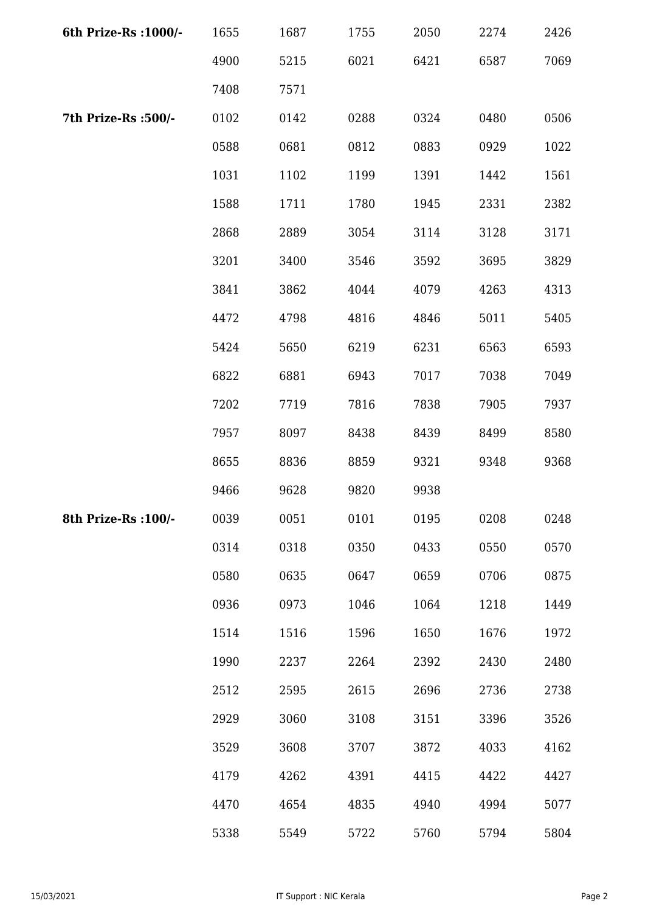| 6th Prize-Rs : 1000/- | 1655 | 1687 | 1755 | 2050 | 2274 | 2426 |
|-----------------------|------|------|------|------|------|------|
|                       | 4900 | 5215 | 6021 | 6421 | 6587 | 7069 |
|                       | 7408 | 7571 |      |      |      |      |
| 7th Prize-Rs :500/-   | 0102 | 0142 | 0288 | 0324 | 0480 | 0506 |
|                       | 0588 | 0681 | 0812 | 0883 | 0929 | 1022 |
|                       | 1031 | 1102 | 1199 | 1391 | 1442 | 1561 |
|                       | 1588 | 1711 | 1780 | 1945 | 2331 | 2382 |
|                       | 2868 | 2889 | 3054 | 3114 | 3128 | 3171 |
|                       | 3201 | 3400 | 3546 | 3592 | 3695 | 3829 |
|                       | 3841 | 3862 | 4044 | 4079 | 4263 | 4313 |
|                       | 4472 | 4798 | 4816 | 4846 | 5011 | 5405 |
|                       | 5424 | 5650 | 6219 | 6231 | 6563 | 6593 |
|                       | 6822 | 6881 | 6943 | 7017 | 7038 | 7049 |
|                       | 7202 | 7719 | 7816 | 7838 | 7905 | 7937 |
|                       | 7957 | 8097 | 8438 | 8439 | 8499 | 8580 |
|                       | 8655 | 8836 | 8859 | 9321 | 9348 | 9368 |
|                       | 9466 | 9628 | 9820 | 9938 |      |      |
| 8th Prize-Rs : 100/-  | 0039 | 0051 | 0101 | 0195 | 0208 | 0248 |
|                       | 0314 | 0318 | 0350 | 0433 | 0550 | 0570 |
|                       | 0580 | 0635 | 0647 | 0659 | 0706 | 0875 |
|                       | 0936 | 0973 | 1046 | 1064 | 1218 | 1449 |
|                       | 1514 | 1516 | 1596 | 1650 | 1676 | 1972 |
|                       | 1990 | 2237 | 2264 | 2392 | 2430 | 2480 |
|                       | 2512 | 2595 | 2615 | 2696 | 2736 | 2738 |
|                       | 2929 | 3060 | 3108 | 3151 | 3396 | 3526 |
|                       | 3529 | 3608 | 3707 | 3872 | 4033 | 4162 |
|                       | 4179 | 4262 | 4391 | 4415 | 4422 | 4427 |
|                       | 4470 | 4654 | 4835 | 4940 | 4994 | 5077 |
|                       | 5338 | 5549 | 5722 | 5760 | 5794 | 5804 |